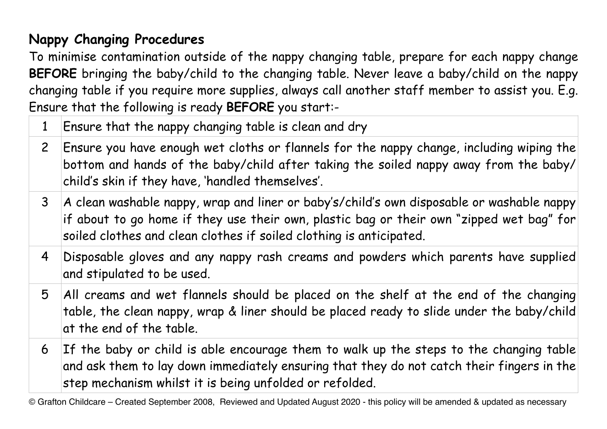## **Nappy Changing Procedures**

To minimise contamination outside of the nappy changing table, prepare for each nappy change **BEFORE** bringing the baby/child to the changing table. Never leave a baby/child on the nappy changing table if you require more supplies, always call another staff member to assist you. E.g. Ensure that the following is ready **BEFORE** you start:-

- 1 Ensure that the nappy changing table is clean and dry
- 2 Ensure you have enough wet cloths or flannels for the nappy change, including wiping the bottom and hands of the baby/child after taking the soiled nappy away from the baby/ child's skin if they have, 'handled themselves'.
- 3 A clean washable nappy, wrap and liner or baby's/child's own disposable or washable nappy if about to go home if they use their own, plastic bag or their own "zipped wet bag" for soiled clothes and clean clothes if soiled clothing is anticipated.
- 4 Disposable gloves and any nappy rash creams and powders which parents have supplied and stipulated to be used.
- 5 All creams and wet flannels should be placed on the shelf at the end of the changing table, the clean nappy, wrap & liner should be placed ready to slide under the baby/child at the end of the table.
- 6 If the baby or child is able encourage them to walk up the steps to the changing table and ask them to lay down immediately ensuring that they do not catch their fingers in the step mechanism whilst it is being unfolded or refolded.

© Grafton Childcare – Created September 2008, Reviewed and Updated August 2020 - this policy will be amended & updated as necessary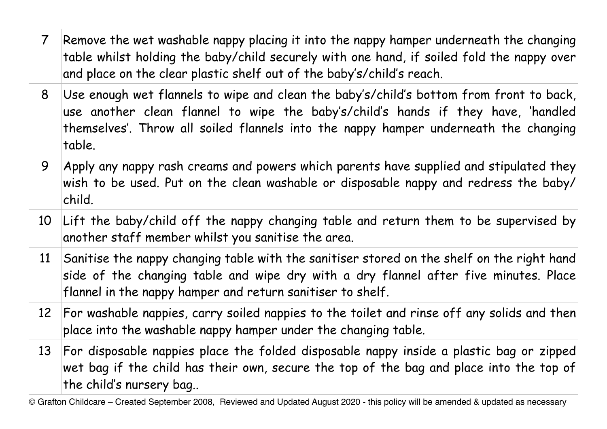| $\overline{7}$ | Remove the wet washable nappy placing it into the nappy hamper under<br>table whilst holding the baby/child securely with one hand, if soiled<br>and place on the clear plastic shelf out of the baby's/child's reach. |
|----------------|------------------------------------------------------------------------------------------------------------------------------------------------------------------------------------------------------------------------|
| 8              | Use enough wet flannels to wipe and clean the baby's/child's bottom<br>use another clean flannel to wipe the baby's/child's hands if<br>themselves'. Throw all soiled flannels into the nappy hamper under<br>table.   |
| 9              | Apply any nappy rash creams and powers which parents have supplied<br>wish to be used. Put on the clean washable or disposable nappy and<br>child.                                                                     |
|                | 10 Lift the baby/child off the nappy changing table and return them<br>another staff member whilst you sanitise the area.                                                                                              |
|                | 11 Sanitise the nappy changing table with the sanitiser stored on the show<br>side of the changing table and wipe dry with a dry flannel after<br>flannel in the nappy hamper and return sanitiser to shelf.           |
|                | 12 For washable nappies, carry soiled nappies to the toilet and rinse off<br>place into the washable nappy hamper under the changing table.                                                                            |
| 13             | For disposable nappies place the folded disposable nappy inside a p<br>wet bag if the child has their own, secure the top of the bag and p<br>the child's nursery bag                                                  |
|                |                                                                                                                                                                                                                        |

© Grafton Childcare – Created September 2008, Reviewed and Updated August 2020 - this policy will be amended & updated as necessary

## erneath the changing fold the nappy over

from front to back, they have, 'handled rneath the changing

d and stipulated they d redress the baby/

to be supervised by

elf on the right hand five minutes. Place

f any solids and then

Iastic bag or zipped place into the top of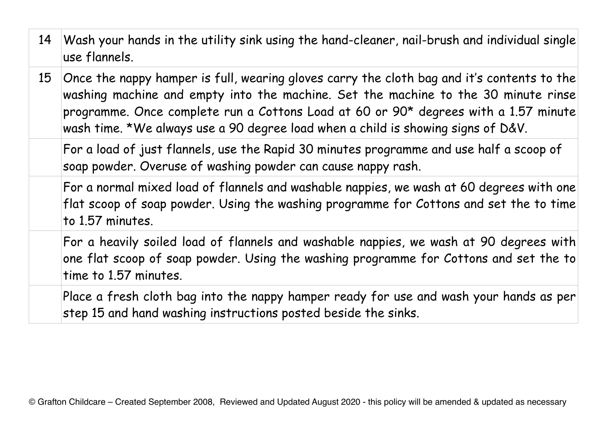14 Wash your hands in the utility sink using the hand-cleaner, nail-brush and individual single use flannels.

15 | Once the nappy hamper is full, wearing gloves carry the cloth bag and it's contents to the washing machine and empty into the machine. Set the machine to the 30 minute rinse programme. Once complete run a Cottons Load at 60 or 90\* degrees with a 1.57 minute wash time. \*We always use a 90 degree load when a child is showing signs of D&V.

For a load of just flannels, use the Rapid 30 minutes programme and use half a scoop of soap powder. Overuse of washing powder can cause nappy rash.

For a normal mixed load of flannels and washable nappies, we wash at 60 degrees with one flat scoop of soap powder. Using the washing programme for Cottons and set the to time to 1.57 minutes.

For a heavily soiled load of flannels and washable nappies, we wash at 90 degrees with one flat scoop of soap powder. Using the washing programme for Cottons and set the to time to 1.57 minutes.

Place a fresh cloth bag into the nappy hamper ready for use and wash your hands as per step 15 and hand washing instructions posted beside the sinks.